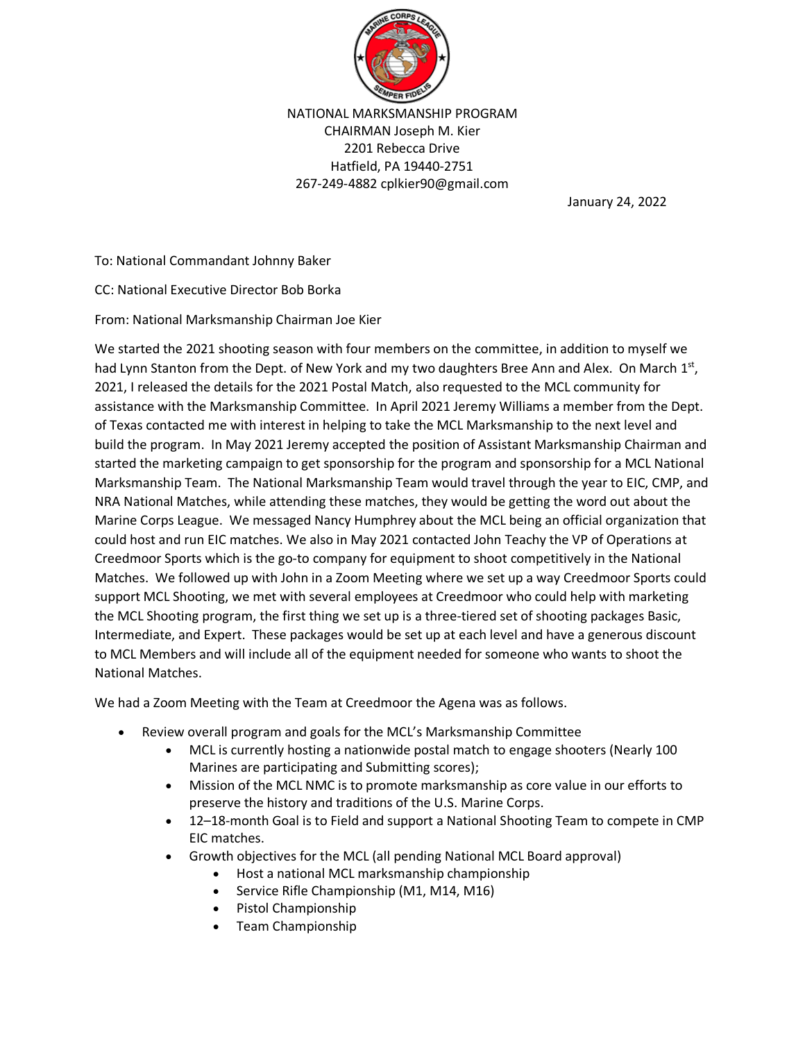

NATIONAL MARKSMANSHIP PROGRAM CHAIRMAN Joseph M. Kier 2201 Rebecca Drive Hatfield, PA 19440-2751 267-249-4882 cplkier90@gmail.com

January 24, 2022

To: National Commandant Johnny Baker

CC: National Executive Director Bob Borka

From: National Marksmanship Chairman Joe Kier

We started the 2021 shooting season with four members on the committee, in addition to myself we had Lynn Stanton from the Dept. of New York and my two daughters Bree Ann and Alex. On March 1st, 2021, I released the details for the 2021 Postal Match, also requested to the MCL community for assistance with the Marksmanship Committee. In April 2021 Jeremy Williams a member from the Dept. of Texas contacted me with interest in helping to take the MCL Marksmanship to the next level and build the program. In May 2021 Jeremy accepted the position of Assistant Marksmanship Chairman and started the marketing campaign to get sponsorship for the program and sponsorship for a MCL National Marksmanship Team. The National Marksmanship Team would travel through the year to EIC, CMP, and NRA National Matches, while attending these matches, they would be getting the word out about the Marine Corps League. We messaged Nancy Humphrey about the MCL being an official organization that could host and run EIC matches. We also in May 2021 contacted John Teachy the VP of Operations at Creedmoor Sports which is the go-to company for equipment to shoot competitively in the National Matches. We followed up with John in a Zoom Meeting where we set up a way Creedmoor Sports could support MCL Shooting, we met with several employees at Creedmoor who could help with marketing the MCL Shooting program, the first thing we set up is a three-tiered set of shooting packages Basic, Intermediate, and Expert. These packages would be set up at each level and have a generous discount to MCL Members and will include all of the equipment needed for someone who wants to shoot the National Matches.

We had a Zoom Meeting with the Team at Creedmoor the Agena was as follows.

- Review overall program and goals for the MCL's Marksmanship Committee
	- MCL is currently hosting a nationwide postal match to engage shooters (Nearly 100 Marines are participating and Submitting scores);
	- Mission of the MCL NMC is to promote marksmanship as core value in our efforts to preserve the history and traditions of the U.S. Marine Corps.
	- 12–18-month Goal is to Field and support a National Shooting Team to compete in CMP EIC matches.
	- Growth objectives for the MCL (all pending National MCL Board approval)
		- Host a national MCL marksmanship championship
		- Service Rifle Championship (M1, M14, M16)
		- Pistol Championship
		- Team Championship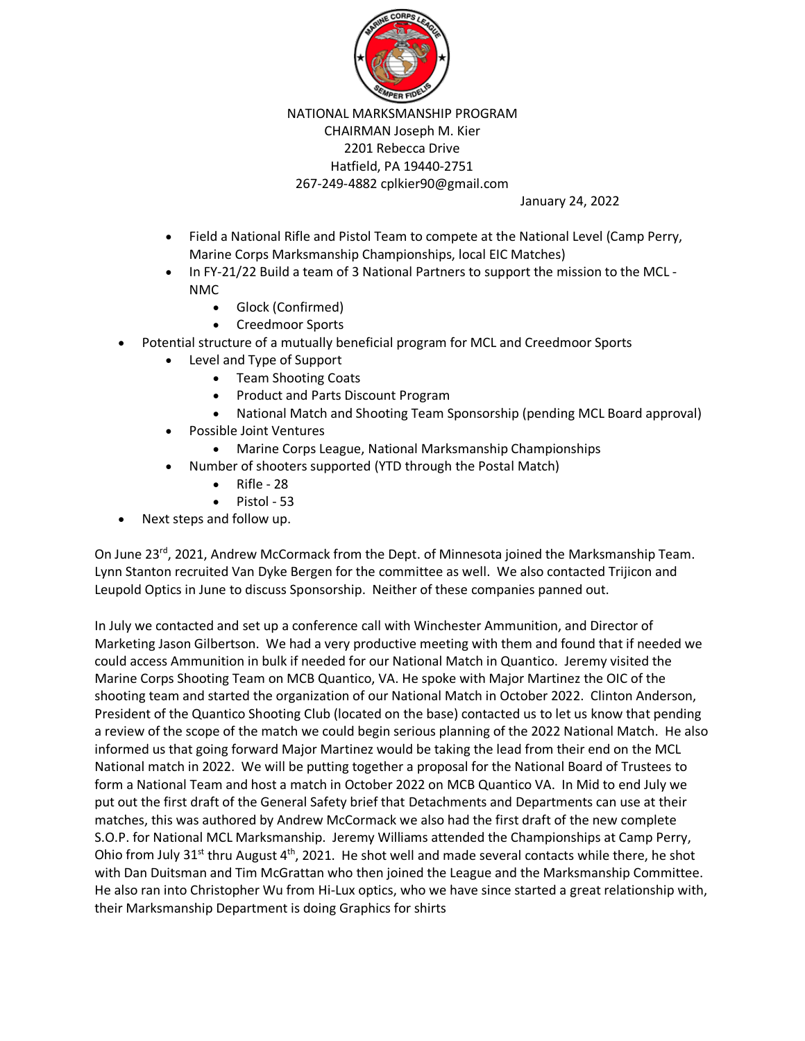

NATIONAL MARKSMANSHIP PROGRAM CHAIRMAN Joseph M. Kier 2201 Rebecca Drive Hatfield, PA 19440-2751 267-249-4882 cplkier90@gmail.com

January 24, 2022

- Field a National Rifle and Pistol Team to compete at the National Level (Camp Perry, Marine Corps Marksmanship Championships, local EIC Matches)
- In FY-21/22 Build a team of 3 National Partners to support the mission to the MCL NMC
	- Glock (Confirmed)
	- Creedmoor Sports
- Potential structure of a mutually beneficial program for MCL and Creedmoor Sports
	- Level and Type of Support
		- Team Shooting Coats
		- Product and Parts Discount Program
		- National Match and Shooting Team Sponsorship (pending MCL Board approval)
	- Possible Joint Ventures
		- Marine Corps League, National Marksmanship Championships
	- Number of shooters supported (YTD through the Postal Match)
		- Rifle 28
		- Pistol 53
- Next steps and follow up.

On June  $23<sup>rd</sup>$ , 2021, Andrew McCormack from the Dept. of Minnesota joined the Marksmanship Team. Lynn Stanton recruited Van Dyke Bergen for the committee as well. We also contacted Trijicon and Leupold Optics in June to discuss Sponsorship. Neither of these companies panned out.

In July we contacted and set up a conference call with Winchester Ammunition, and Director of Marketing Jason Gilbertson. We had a very productive meeting with them and found that if needed we could access Ammunition in bulk if needed for our National Match in Quantico. Jeremy visited the Marine Corps Shooting Team on MCB Quantico, VA. He spoke with Major Martinez the OIC of the shooting team and started the organization of our National Match in October 2022. Clinton Anderson, President of the Quantico Shooting Club (located on the base) contacted us to let us know that pending a review of the scope of the match we could begin serious planning of the 2022 National Match. He also informed us that going forward Major Martinez would be taking the lead from their end on the MCL National match in 2022. We will be putting together a proposal for the National Board of Trustees to form a National Team and host a match in October 2022 on MCB Quantico VA. In Mid to end July we put out the first draft of the General Safety brief that Detachments and Departments can use at their matches, this was authored by Andrew McCormack we also had the first draft of the new complete S.O.P. for National MCL Marksmanship. Jeremy Williams attended the Championships at Camp Perry, Ohio from July 31<sup>st</sup> thru August  $4<sup>th</sup>$ , 2021. He shot well and made several contacts while there, he shot with Dan Duitsman and Tim McGrattan who then joined the League and the Marksmanship Committee. He also ran into Christopher Wu from Hi-Lux optics, who we have since started a great relationship with, their Marksmanship Department is doing Graphics for shirts